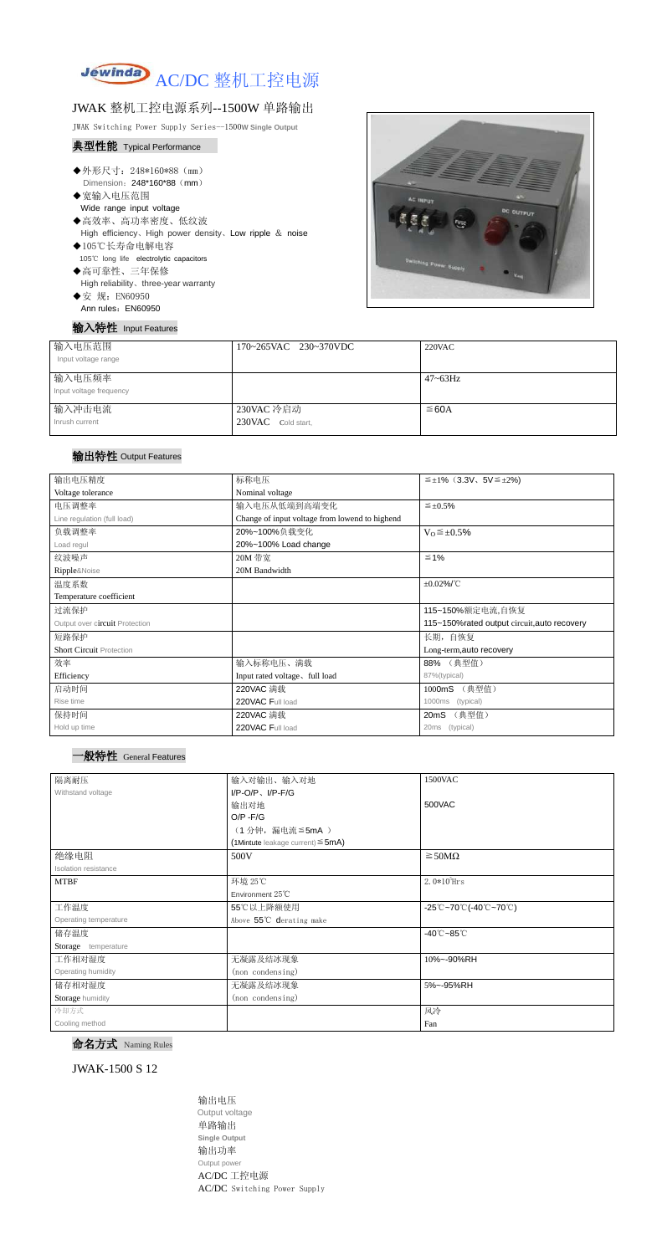

## JWAK 整机工控电源系列--1500W 单路输出

JWAK Switching Power Supply Series--1500**W Single Output**

#### 典型性能 Typical Performance

- ◆外形尺寸: 248\*160\*88 (mm) Dimension: 248\*160\*88 (mm)
- ◆宽输入电压范围 Wide range input voltage
- ◆高效率、高功率密度、低纹波 High efficiency、High power density、Low ripple & noise
- ◆105℃长寿命电解电容 105℃ long life electrolytic capacitors ◆高可靠性、三年保修
- High reliability、three-year warranty
- ◆安 规: EN60950
- Ann rules: EN60950

输入特性 Input Features



| 输入电压范围<br>Input voltage range     | 170~265VAC 230~370VDC            | $220$ VAC    |
|-----------------------------------|----------------------------------|--------------|
| 输入电压频率<br>Input voltage frequency |                                  | $47 - 63$ Hz |
| 输入冲击电流<br>Inrush current          | 230VAC 冷启动<br>230VAC Cold start, | $\leq$ 60A   |

## 输出特性 Output Features

### 一般特性 General Features

命名方式 Naming Rules

JWAK-1500 S 12

输出电压 Output voltage 单路输出 **Single Output** 输出功率 Output power AC/DC 工控电源 AC/DC Switching Power Supply

| 输出电压精度                          | 标称电压                                           | $\leq \pm 1\%$ (3.3V, 5V $\leq \pm 2\%$ )    |  |
|---------------------------------|------------------------------------------------|----------------------------------------------|--|
| Voltage tolerance               | Nominal voltage                                |                                              |  |
| 电压调整率                           | 输入电压从低端到高端变化                                   | $\leq \pm 0.5\%$                             |  |
| Line regulation (full load)     | Change of input voltage from lowend to highend |                                              |  |
| 负载调整率                           | 20%~100%负载变化                                   | $V_0 \leq \pm 0.5\%$                         |  |
| Load regul                      | 20%~100% Load change                           |                                              |  |
| 纹波噪声                            | 20M 带宽                                         | $≤ 1%$                                       |  |
| Ripple&Noise                    | 20M Bandwidth                                  |                                              |  |
| 温度系数                            |                                                | $\pm 0.02\%$ /°C                             |  |
| Temperature coefficient         |                                                |                                              |  |
| 过流保护                            |                                                | 115~150%额定电流,自恢复                             |  |
| Output over circuit Protection  |                                                | 115~150% rated output circuit, auto recovery |  |
| 短路保护                            |                                                | 长期, 自恢复                                      |  |
| <b>Short Circuit Protection</b> |                                                | Long-term, auto recovery                     |  |
| 效率                              | 输入标称电压、满载                                      | 88% (典型值)                                    |  |
| Efficiency                      | Input rated voltage, full load                 | 87%(typical)                                 |  |
| 启动时间                            | 220VAC 满载                                      | (典型值)<br>1000mS                              |  |
| Rise time                       | 220VAC Full load                               | (typical)<br>1000ms                          |  |
| 保持时间                            | 220VAC 满载                                      | (典型值)<br>20mS                                |  |
| Hold up time                    | 220VAC Full load                               | 20ms (typical)                               |  |

| 隔离耐压                  | 输入对输出、输入对地                             | 1500VAC                                                                               |  |
|-----------------------|----------------------------------------|---------------------------------------------------------------------------------------|--|
| Withstand voltage     | $I/P-O/P$ , $I/P-F/G$                  |                                                                                       |  |
|                       | 输出对地                                   | 500VAC                                                                                |  |
|                       | $O/P - F/G$                            |                                                                                       |  |
|                       | (1分钟,漏电流≦5mA)                          |                                                                                       |  |
|                       | (1Mintute leakage current) $\leq$ 5mA) |                                                                                       |  |
| 绝缘电阻                  | 500V                                   | $\geq$ 50M $\Omega$                                                                   |  |
| Isolation resistance  |                                        |                                                                                       |  |
| <b>MTBF</b>           | 环境 25℃                                 | $2.0*105$ Hrs                                                                         |  |
|                       | Environment $25^{\circ}$ C             |                                                                                       |  |
| 工作温度                  | 55℃以上降额使用                              | $-25^{\circ}\text{C}-70^{\circ}\text{C}$ (-40 $^{\circ}\text{C}-70^{\circ}\text{C}$ ) |  |
| Operating temperature | Above 55°C derating make               |                                                                                       |  |
| 储存温度                  |                                        | $-40^{\circ}$ C $-85^{\circ}$ C                                                       |  |
| Storage temperature   |                                        |                                                                                       |  |
| 工作相对湿度                | 无凝露及结冰现象                               | 10%~-90%RH                                                                            |  |
| Operating humidity    | (non condensing)                       |                                                                                       |  |
| 储存相对湿度                | 无凝露及结冰现象                               | 5%~-95%RH                                                                             |  |
| Storage humidity      | (non condensing)                       |                                                                                       |  |
| 冷却方式                  |                                        | 风冷                                                                                    |  |
| Cooling method        |                                        | Fan                                                                                   |  |